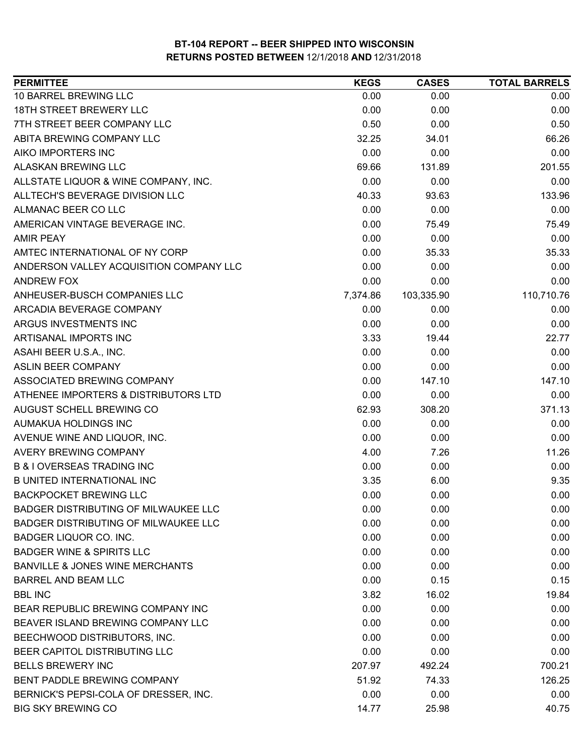| <b>PERMITTEE</b>                            | <b>KEGS</b> | <b>CASES</b> | <b>TOTAL BARRELS</b> |
|---------------------------------------------|-------------|--------------|----------------------|
| 10 BARREL BREWING LLC                       | 0.00        | 0.00         | 0.00                 |
| <b>18TH STREET BREWERY LLC</b>              | 0.00        | 0.00         | 0.00                 |
| 7TH STREET BEER COMPANY LLC                 | 0.50        | 0.00         | 0.50                 |
| ABITA BREWING COMPANY LLC                   | 32.25       | 34.01        | 66.26                |
| AIKO IMPORTERS INC                          | 0.00        | 0.00         | 0.00                 |
| ALASKAN BREWING LLC                         | 69.66       | 131.89       | 201.55               |
| ALLSTATE LIQUOR & WINE COMPANY, INC.        | 0.00        | 0.00         | 0.00                 |
| ALLTECH'S BEVERAGE DIVISION LLC             | 40.33       | 93.63        | 133.96               |
| ALMANAC BEER CO LLC                         | 0.00        | 0.00         | 0.00                 |
| AMERICAN VINTAGE BEVERAGE INC.              | 0.00        | 75.49        | 75.49                |
| <b>AMIR PEAY</b>                            | 0.00        | 0.00         | 0.00                 |
| AMTEC INTERNATIONAL OF NY CORP              | 0.00        | 35.33        | 35.33                |
| ANDERSON VALLEY ACQUISITION COMPANY LLC     | 0.00        | 0.00         | 0.00                 |
| ANDREW FOX                                  | 0.00        | 0.00         | 0.00                 |
| ANHEUSER-BUSCH COMPANIES LLC                | 7,374.86    | 103,335.90   | 110,710.76           |
| ARCADIA BEVERAGE COMPANY                    | 0.00        | 0.00         | 0.00                 |
| ARGUS INVESTMENTS INC                       | 0.00        | 0.00         | 0.00                 |
| ARTISANAL IMPORTS INC                       | 3.33        | 19.44        | 22.77                |
| ASAHI BEER U.S.A., INC.                     | 0.00        | 0.00         | 0.00                 |
| <b>ASLIN BEER COMPANY</b>                   | 0.00        | 0.00         | 0.00                 |
| ASSOCIATED BREWING COMPANY                  | 0.00        | 147.10       | 147.10               |
| ATHENEE IMPORTERS & DISTRIBUTORS LTD        | 0.00        | 0.00         | 0.00                 |
| AUGUST SCHELL BREWING CO                    | 62.93       | 308.20       | 371.13               |
| AUMAKUA HOLDINGS INC                        | 0.00        | 0.00         | 0.00                 |
| AVENUE WINE AND LIQUOR, INC.                | 0.00        | 0.00         | 0.00                 |
| AVERY BREWING COMPANY                       | 4.00        | 7.26         | 11.26                |
| <b>B &amp; I OVERSEAS TRADING INC</b>       | 0.00        | 0.00         | 0.00                 |
| <b>B UNITED INTERNATIONAL INC</b>           | 3.35        | 6.00         | 9.35                 |
| <b>BACKPOCKET BREWING LLC</b>               | 0.00        | 0.00         | 0.00                 |
| <b>BADGER DISTRIBUTING OF MILWAUKEE LLC</b> | 0.00        | 0.00         | 0.00                 |
| BADGER DISTRIBUTING OF MILWAUKEE LLC        | 0.00        | 0.00         | 0.00                 |
| BADGER LIQUOR CO. INC.                      | 0.00        | 0.00         | 0.00                 |
| <b>BADGER WINE &amp; SPIRITS LLC</b>        | 0.00        | 0.00         | 0.00                 |
| <b>BANVILLE &amp; JONES WINE MERCHANTS</b>  | 0.00        | 0.00         | 0.00                 |
| <b>BARREL AND BEAM LLC</b>                  | 0.00        | 0.15         | 0.15                 |
| <b>BBL INC</b>                              | 3.82        | 16.02        | 19.84                |
| BEAR REPUBLIC BREWING COMPANY INC           | 0.00        | 0.00         | 0.00                 |
| BEAVER ISLAND BREWING COMPANY LLC           | 0.00        | 0.00         | 0.00                 |
| BEECHWOOD DISTRIBUTORS, INC.                | 0.00        | 0.00         | 0.00                 |
| BEER CAPITOL DISTRIBUTING LLC               | 0.00        | 0.00         | 0.00                 |
| <b>BELLS BREWERY INC</b>                    | 207.97      | 492.24       | 700.21               |
| BENT PADDLE BREWING COMPANY                 | 51.92       | 74.33        | 126.25               |
| BERNICK'S PEPSI-COLA OF DRESSER, INC.       | 0.00        | 0.00         | 0.00                 |
| <b>BIG SKY BREWING CO</b>                   | 14.77       | 25.98        | 40.75                |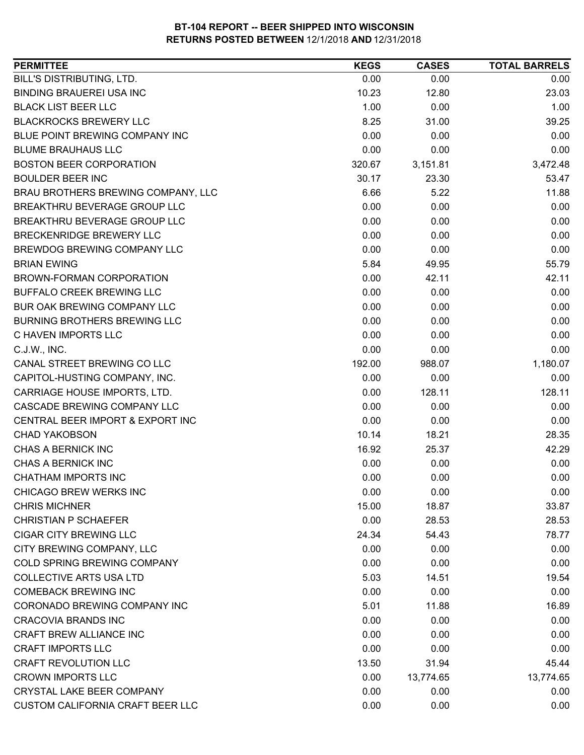| <b>PERMITTEE</b>                    | <b>KEGS</b> | <b>CASES</b> | <b>TOTAL BARRELS</b> |
|-------------------------------------|-------------|--------------|----------------------|
| BILL'S DISTRIBUTING, LTD.           | 0.00        | 0.00         | 0.00                 |
| <b>BINDING BRAUEREI USA INC</b>     | 10.23       | 12.80        | 23.03                |
| <b>BLACK LIST BEER LLC</b>          | 1.00        | 0.00         | 1.00                 |
| <b>BLACKROCKS BREWERY LLC</b>       | 8.25        | 31.00        | 39.25                |
| BLUE POINT BREWING COMPANY INC      | 0.00        | 0.00         | 0.00                 |
| <b>BLUME BRAUHAUS LLC</b>           | 0.00        | 0.00         | 0.00                 |
| <b>BOSTON BEER CORPORATION</b>      | 320.67      | 3,151.81     | 3,472.48             |
| <b>BOULDER BEER INC</b>             | 30.17       | 23.30        | 53.47                |
| BRAU BROTHERS BREWING COMPANY, LLC  | 6.66        | 5.22         | 11.88                |
| BREAKTHRU BEVERAGE GROUP LLC        | 0.00        | 0.00         | 0.00                 |
| BREAKTHRU BEVERAGE GROUP LLC        | 0.00        | 0.00         | 0.00                 |
| BRECKENRIDGE BREWERY LLC            | 0.00        | 0.00         | 0.00                 |
| BREWDOG BREWING COMPANY LLC         | 0.00        | 0.00         | 0.00                 |
| <b>BRIAN EWING</b>                  | 5.84        | 49.95        | 55.79                |
| BROWN-FORMAN CORPORATION            | 0.00        | 42.11        | 42.11                |
| <b>BUFFALO CREEK BREWING LLC</b>    | 0.00        | 0.00         | 0.00                 |
| BUR OAK BREWING COMPANY LLC         | 0.00        | 0.00         | 0.00                 |
| <b>BURNING BROTHERS BREWING LLC</b> | 0.00        | 0.00         | 0.00                 |
| C HAVEN IMPORTS LLC                 | 0.00        | 0.00         | 0.00                 |
| C.J.W., INC.                        | 0.00        | 0.00         | 0.00                 |
| CANAL STREET BREWING CO LLC         | 192.00      | 988.07       | 1,180.07             |
| CAPITOL-HUSTING COMPANY, INC.       | 0.00        | 0.00         | 0.00                 |
| CARRIAGE HOUSE IMPORTS, LTD.        | 0.00        | 128.11       | 128.11               |
| CASCADE BREWING COMPANY LLC         | 0.00        | 0.00         | 0.00                 |
| CENTRAL BEER IMPORT & EXPORT INC    | 0.00        | 0.00         | 0.00                 |
| <b>CHAD YAKOBSON</b>                | 10.14       | 18.21        | 28.35                |
| CHAS A BERNICK INC                  | 16.92       | 25.37        | 42.29                |
| CHAS A BERNICK INC                  | 0.00        | 0.00         | 0.00                 |
| <b>CHATHAM IMPORTS INC</b>          | 0.00        | 0.00         | 0.00                 |
| CHICAGO BREW WERKS INC              | 0.00        | 0.00         | 0.00                 |
| <b>CHRIS MICHNER</b>                | 15.00       | 18.87        | 33.87                |
| <b>CHRISTIAN P SCHAEFER</b>         | 0.00        | 28.53        | 28.53                |
| <b>CIGAR CITY BREWING LLC</b>       | 24.34       | 54.43        | 78.77                |
| CITY BREWING COMPANY, LLC           | 0.00        | 0.00         | 0.00                 |
| COLD SPRING BREWING COMPANY         | 0.00        | 0.00         | 0.00                 |
| <b>COLLECTIVE ARTS USA LTD</b>      | 5.03        | 14.51        | 19.54                |
| <b>COMEBACK BREWING INC</b>         | 0.00        | 0.00         | 0.00                 |
| CORONADO BREWING COMPANY INC        | 5.01        | 11.88        | 16.89                |
| <b>CRACOVIA BRANDS INC</b>          | 0.00        | 0.00         | 0.00                 |
| CRAFT BREW ALLIANCE INC             | 0.00        | 0.00         | 0.00                 |
| <b>CRAFT IMPORTS LLC</b>            | 0.00        | 0.00         | 0.00                 |
| <b>CRAFT REVOLUTION LLC</b>         | 13.50       | 31.94        | 45.44                |
| <b>CROWN IMPORTS LLC</b>            | 0.00        | 13,774.65    | 13,774.65            |
| CRYSTAL LAKE BEER COMPANY           | 0.00        | 0.00         | 0.00                 |
| CUSTOM CALIFORNIA CRAFT BEER LLC    | 0.00        | 0.00         | 0.00                 |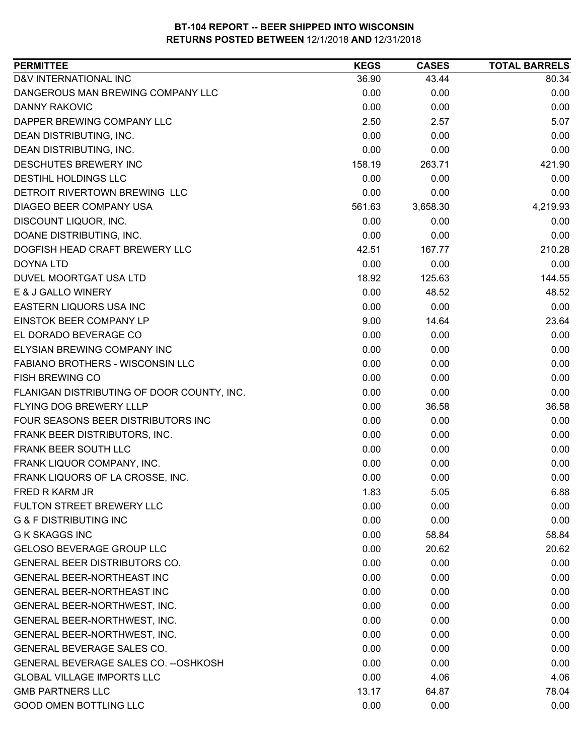| D&V INTERNATIONAL INC<br>36.90<br>43.44<br>80.34<br>DANGEROUS MAN BREWING COMPANY LLC<br>0.00<br>0.00<br>0.00<br>0.00<br><b>DANNY RAKOVIC</b><br>0.00<br>0.00<br>DAPPER BREWING COMPANY LLC<br>2.50<br>2.57<br>5.07<br>0.00<br>DEAN DISTRIBUTING, INC.<br>0.00<br>0.00<br>DEAN DISTRIBUTING, INC.<br>0.00<br>0.00<br>0.00<br>DESCHUTES BREWERY INC<br>158.19<br>263.71<br>421.90<br>DESTIHL HOLDINGS LLC<br>0.00<br>0.00<br>0.00<br>0.00<br>DETROIT RIVERTOWN BREWING LLC<br>0.00<br>0.00<br>DIAGEO BEER COMPANY USA<br>561.63<br>4,219.93<br>3,658.30<br>DISCOUNT LIQUOR, INC.<br>0.00<br>0.00<br>0.00<br>DOANE DISTRIBUTING, INC.<br>0.00<br>0.00<br>0.00<br>DOGFISH HEAD CRAFT BREWERY LLC<br>210.28<br>42.51<br>167.77<br>0.00<br>0.00<br><b>DOYNA LTD</b><br>0.00<br>DUVEL MOORTGAT USA LTD<br>144.55<br>18.92<br>125.63<br>E & J GALLO WINERY<br>0.00<br>48.52<br>48.52<br>0.00<br>EASTERN LIQUORS USA INC<br>0.00<br>0.00<br>EINSTOK BEER COMPANY LP<br>9.00<br>23.64<br>14.64<br>EL DORADO BEVERAGE CO<br>0.00<br>0.00<br>0.00<br>ELYSIAN BREWING COMPANY INC<br>0.00<br>0.00<br>0.00<br>FABIANO BROTHERS - WISCONSIN LLC<br>0.00<br>0.00<br>0.00<br><b>FISH BREWING CO</b><br>0.00<br>0.00<br>0.00<br>FLANIGAN DISTRIBUTING OF DOOR COUNTY, INC.<br>0.00<br>0.00<br>0.00<br>FLYING DOG BREWERY LLLP<br>0.00<br>36.58<br>36.58<br>0.00<br>0.00<br>0.00<br>FOUR SEASONS BEER DISTRIBUTORS INC<br>FRANK BEER DISTRIBUTORS, INC.<br>0.00<br>0.00<br>0.00<br>FRANK BEER SOUTH LLC<br>0.00<br>0.00<br>0.00<br>FRANK LIQUOR COMPANY, INC.<br>0.00<br>0.00<br>0.00<br>FRANK LIQUORS OF LA CROSSE, INC.<br>0.00<br>0.00<br>0.00<br><b>FRED R KARM JR</b><br>1.83<br>5.05<br>6.88<br>0.00<br>FULTON STREET BREWERY LLC<br>0.00<br>0.00<br><b>G &amp; F DISTRIBUTING INC</b><br>0.00<br>0.00<br>0.00<br><b>G K SKAGGS INC</b><br>0.00<br>58.84<br>58.84<br>GELOSO BEVERAGE GROUP LLC<br>0.00<br>20.62<br>20.62<br>GENERAL BEER DISTRIBUTORS CO.<br>0.00<br>0.00<br>0.00<br><b>GENERAL BEER-NORTHEAST INC</b><br>0.00<br>0.00<br>0.00<br><b>GENERAL BEER-NORTHEAST INC</b><br>0.00<br>0.00<br>0.00<br>GENERAL BEER-NORTHWEST, INC.<br>0.00<br>0.00<br>0.00<br>0.00<br>0.00<br>GENERAL BEER-NORTHWEST, INC.<br>0.00<br>GENERAL BEER-NORTHWEST, INC.<br>0.00<br>0.00<br>0.00<br>GENERAL BEVERAGE SALES CO.<br>0.00<br>0.00<br>0.00<br><b>GENERAL BEVERAGE SALES CO. -- OSHKOSH</b><br>0.00<br>0.00<br>0.00<br>0.00<br>4.06<br><b>GLOBAL VILLAGE IMPORTS LLC</b><br>4.06<br><b>GMB PARTNERS LLC</b><br>78.04<br>13.17<br>64.87<br><b>GOOD OMEN BOTTLING LLC</b><br>0.00<br>0.00<br>0.00 | <b>PERMITTEE</b> | <b>KEGS</b> | <b>CASES</b> | <b>TOTAL BARRELS</b> |
|-----------------------------------------------------------------------------------------------------------------------------------------------------------------------------------------------------------------------------------------------------------------------------------------------------------------------------------------------------------------------------------------------------------------------------------------------------------------------------------------------------------------------------------------------------------------------------------------------------------------------------------------------------------------------------------------------------------------------------------------------------------------------------------------------------------------------------------------------------------------------------------------------------------------------------------------------------------------------------------------------------------------------------------------------------------------------------------------------------------------------------------------------------------------------------------------------------------------------------------------------------------------------------------------------------------------------------------------------------------------------------------------------------------------------------------------------------------------------------------------------------------------------------------------------------------------------------------------------------------------------------------------------------------------------------------------------------------------------------------------------------------------------------------------------------------------------------------------------------------------------------------------------------------------------------------------------------------------------------------------------------------------------------------------------------------------------------------------------------------------------------------------------------------------------------------------------------------------------------------------------------------------------------------------------------------------------------------------------------------------------------------------------------------------------------------------------------------------------------------------------------------------------------------------------------------------------------------|------------------|-------------|--------------|----------------------|
|                                                                                                                                                                                                                                                                                                                                                                                                                                                                                                                                                                                                                                                                                                                                                                                                                                                                                                                                                                                                                                                                                                                                                                                                                                                                                                                                                                                                                                                                                                                                                                                                                                                                                                                                                                                                                                                                                                                                                                                                                                                                                                                                                                                                                                                                                                                                                                                                                                                                                                                                                                                   |                  |             |              |                      |
|                                                                                                                                                                                                                                                                                                                                                                                                                                                                                                                                                                                                                                                                                                                                                                                                                                                                                                                                                                                                                                                                                                                                                                                                                                                                                                                                                                                                                                                                                                                                                                                                                                                                                                                                                                                                                                                                                                                                                                                                                                                                                                                                                                                                                                                                                                                                                                                                                                                                                                                                                                                   |                  |             |              |                      |
|                                                                                                                                                                                                                                                                                                                                                                                                                                                                                                                                                                                                                                                                                                                                                                                                                                                                                                                                                                                                                                                                                                                                                                                                                                                                                                                                                                                                                                                                                                                                                                                                                                                                                                                                                                                                                                                                                                                                                                                                                                                                                                                                                                                                                                                                                                                                                                                                                                                                                                                                                                                   |                  |             |              |                      |
|                                                                                                                                                                                                                                                                                                                                                                                                                                                                                                                                                                                                                                                                                                                                                                                                                                                                                                                                                                                                                                                                                                                                                                                                                                                                                                                                                                                                                                                                                                                                                                                                                                                                                                                                                                                                                                                                                                                                                                                                                                                                                                                                                                                                                                                                                                                                                                                                                                                                                                                                                                                   |                  |             |              |                      |
|                                                                                                                                                                                                                                                                                                                                                                                                                                                                                                                                                                                                                                                                                                                                                                                                                                                                                                                                                                                                                                                                                                                                                                                                                                                                                                                                                                                                                                                                                                                                                                                                                                                                                                                                                                                                                                                                                                                                                                                                                                                                                                                                                                                                                                                                                                                                                                                                                                                                                                                                                                                   |                  |             |              |                      |
|                                                                                                                                                                                                                                                                                                                                                                                                                                                                                                                                                                                                                                                                                                                                                                                                                                                                                                                                                                                                                                                                                                                                                                                                                                                                                                                                                                                                                                                                                                                                                                                                                                                                                                                                                                                                                                                                                                                                                                                                                                                                                                                                                                                                                                                                                                                                                                                                                                                                                                                                                                                   |                  |             |              |                      |
|                                                                                                                                                                                                                                                                                                                                                                                                                                                                                                                                                                                                                                                                                                                                                                                                                                                                                                                                                                                                                                                                                                                                                                                                                                                                                                                                                                                                                                                                                                                                                                                                                                                                                                                                                                                                                                                                                                                                                                                                                                                                                                                                                                                                                                                                                                                                                                                                                                                                                                                                                                                   |                  |             |              |                      |
|                                                                                                                                                                                                                                                                                                                                                                                                                                                                                                                                                                                                                                                                                                                                                                                                                                                                                                                                                                                                                                                                                                                                                                                                                                                                                                                                                                                                                                                                                                                                                                                                                                                                                                                                                                                                                                                                                                                                                                                                                                                                                                                                                                                                                                                                                                                                                                                                                                                                                                                                                                                   |                  |             |              |                      |
|                                                                                                                                                                                                                                                                                                                                                                                                                                                                                                                                                                                                                                                                                                                                                                                                                                                                                                                                                                                                                                                                                                                                                                                                                                                                                                                                                                                                                                                                                                                                                                                                                                                                                                                                                                                                                                                                                                                                                                                                                                                                                                                                                                                                                                                                                                                                                                                                                                                                                                                                                                                   |                  |             |              |                      |
|                                                                                                                                                                                                                                                                                                                                                                                                                                                                                                                                                                                                                                                                                                                                                                                                                                                                                                                                                                                                                                                                                                                                                                                                                                                                                                                                                                                                                                                                                                                                                                                                                                                                                                                                                                                                                                                                                                                                                                                                                                                                                                                                                                                                                                                                                                                                                                                                                                                                                                                                                                                   |                  |             |              |                      |
|                                                                                                                                                                                                                                                                                                                                                                                                                                                                                                                                                                                                                                                                                                                                                                                                                                                                                                                                                                                                                                                                                                                                                                                                                                                                                                                                                                                                                                                                                                                                                                                                                                                                                                                                                                                                                                                                                                                                                                                                                                                                                                                                                                                                                                                                                                                                                                                                                                                                                                                                                                                   |                  |             |              |                      |
|                                                                                                                                                                                                                                                                                                                                                                                                                                                                                                                                                                                                                                                                                                                                                                                                                                                                                                                                                                                                                                                                                                                                                                                                                                                                                                                                                                                                                                                                                                                                                                                                                                                                                                                                                                                                                                                                                                                                                                                                                                                                                                                                                                                                                                                                                                                                                                                                                                                                                                                                                                                   |                  |             |              |                      |
|                                                                                                                                                                                                                                                                                                                                                                                                                                                                                                                                                                                                                                                                                                                                                                                                                                                                                                                                                                                                                                                                                                                                                                                                                                                                                                                                                                                                                                                                                                                                                                                                                                                                                                                                                                                                                                                                                                                                                                                                                                                                                                                                                                                                                                                                                                                                                                                                                                                                                                                                                                                   |                  |             |              |                      |
|                                                                                                                                                                                                                                                                                                                                                                                                                                                                                                                                                                                                                                                                                                                                                                                                                                                                                                                                                                                                                                                                                                                                                                                                                                                                                                                                                                                                                                                                                                                                                                                                                                                                                                                                                                                                                                                                                                                                                                                                                                                                                                                                                                                                                                                                                                                                                                                                                                                                                                                                                                                   |                  |             |              |                      |
|                                                                                                                                                                                                                                                                                                                                                                                                                                                                                                                                                                                                                                                                                                                                                                                                                                                                                                                                                                                                                                                                                                                                                                                                                                                                                                                                                                                                                                                                                                                                                                                                                                                                                                                                                                                                                                                                                                                                                                                                                                                                                                                                                                                                                                                                                                                                                                                                                                                                                                                                                                                   |                  |             |              |                      |
|                                                                                                                                                                                                                                                                                                                                                                                                                                                                                                                                                                                                                                                                                                                                                                                                                                                                                                                                                                                                                                                                                                                                                                                                                                                                                                                                                                                                                                                                                                                                                                                                                                                                                                                                                                                                                                                                                                                                                                                                                                                                                                                                                                                                                                                                                                                                                                                                                                                                                                                                                                                   |                  |             |              |                      |
|                                                                                                                                                                                                                                                                                                                                                                                                                                                                                                                                                                                                                                                                                                                                                                                                                                                                                                                                                                                                                                                                                                                                                                                                                                                                                                                                                                                                                                                                                                                                                                                                                                                                                                                                                                                                                                                                                                                                                                                                                                                                                                                                                                                                                                                                                                                                                                                                                                                                                                                                                                                   |                  |             |              |                      |
|                                                                                                                                                                                                                                                                                                                                                                                                                                                                                                                                                                                                                                                                                                                                                                                                                                                                                                                                                                                                                                                                                                                                                                                                                                                                                                                                                                                                                                                                                                                                                                                                                                                                                                                                                                                                                                                                                                                                                                                                                                                                                                                                                                                                                                                                                                                                                                                                                                                                                                                                                                                   |                  |             |              |                      |
|                                                                                                                                                                                                                                                                                                                                                                                                                                                                                                                                                                                                                                                                                                                                                                                                                                                                                                                                                                                                                                                                                                                                                                                                                                                                                                                                                                                                                                                                                                                                                                                                                                                                                                                                                                                                                                                                                                                                                                                                                                                                                                                                                                                                                                                                                                                                                                                                                                                                                                                                                                                   |                  |             |              |                      |
|                                                                                                                                                                                                                                                                                                                                                                                                                                                                                                                                                                                                                                                                                                                                                                                                                                                                                                                                                                                                                                                                                                                                                                                                                                                                                                                                                                                                                                                                                                                                                                                                                                                                                                                                                                                                                                                                                                                                                                                                                                                                                                                                                                                                                                                                                                                                                                                                                                                                                                                                                                                   |                  |             |              |                      |
|                                                                                                                                                                                                                                                                                                                                                                                                                                                                                                                                                                                                                                                                                                                                                                                                                                                                                                                                                                                                                                                                                                                                                                                                                                                                                                                                                                                                                                                                                                                                                                                                                                                                                                                                                                                                                                                                                                                                                                                                                                                                                                                                                                                                                                                                                                                                                                                                                                                                                                                                                                                   |                  |             |              |                      |
|                                                                                                                                                                                                                                                                                                                                                                                                                                                                                                                                                                                                                                                                                                                                                                                                                                                                                                                                                                                                                                                                                                                                                                                                                                                                                                                                                                                                                                                                                                                                                                                                                                                                                                                                                                                                                                                                                                                                                                                                                                                                                                                                                                                                                                                                                                                                                                                                                                                                                                                                                                                   |                  |             |              |                      |
|                                                                                                                                                                                                                                                                                                                                                                                                                                                                                                                                                                                                                                                                                                                                                                                                                                                                                                                                                                                                                                                                                                                                                                                                                                                                                                                                                                                                                                                                                                                                                                                                                                                                                                                                                                                                                                                                                                                                                                                                                                                                                                                                                                                                                                                                                                                                                                                                                                                                                                                                                                                   |                  |             |              |                      |
|                                                                                                                                                                                                                                                                                                                                                                                                                                                                                                                                                                                                                                                                                                                                                                                                                                                                                                                                                                                                                                                                                                                                                                                                                                                                                                                                                                                                                                                                                                                                                                                                                                                                                                                                                                                                                                                                                                                                                                                                                                                                                                                                                                                                                                                                                                                                                                                                                                                                                                                                                                                   |                  |             |              |                      |
|                                                                                                                                                                                                                                                                                                                                                                                                                                                                                                                                                                                                                                                                                                                                                                                                                                                                                                                                                                                                                                                                                                                                                                                                                                                                                                                                                                                                                                                                                                                                                                                                                                                                                                                                                                                                                                                                                                                                                                                                                                                                                                                                                                                                                                                                                                                                                                                                                                                                                                                                                                                   |                  |             |              |                      |
|                                                                                                                                                                                                                                                                                                                                                                                                                                                                                                                                                                                                                                                                                                                                                                                                                                                                                                                                                                                                                                                                                                                                                                                                                                                                                                                                                                                                                                                                                                                                                                                                                                                                                                                                                                                                                                                                                                                                                                                                                                                                                                                                                                                                                                                                                                                                                                                                                                                                                                                                                                                   |                  |             |              |                      |
|                                                                                                                                                                                                                                                                                                                                                                                                                                                                                                                                                                                                                                                                                                                                                                                                                                                                                                                                                                                                                                                                                                                                                                                                                                                                                                                                                                                                                                                                                                                                                                                                                                                                                                                                                                                                                                                                                                                                                                                                                                                                                                                                                                                                                                                                                                                                                                                                                                                                                                                                                                                   |                  |             |              |                      |
|                                                                                                                                                                                                                                                                                                                                                                                                                                                                                                                                                                                                                                                                                                                                                                                                                                                                                                                                                                                                                                                                                                                                                                                                                                                                                                                                                                                                                                                                                                                                                                                                                                                                                                                                                                                                                                                                                                                                                                                                                                                                                                                                                                                                                                                                                                                                                                                                                                                                                                                                                                                   |                  |             |              |                      |
|                                                                                                                                                                                                                                                                                                                                                                                                                                                                                                                                                                                                                                                                                                                                                                                                                                                                                                                                                                                                                                                                                                                                                                                                                                                                                                                                                                                                                                                                                                                                                                                                                                                                                                                                                                                                                                                                                                                                                                                                                                                                                                                                                                                                                                                                                                                                                                                                                                                                                                                                                                                   |                  |             |              |                      |
|                                                                                                                                                                                                                                                                                                                                                                                                                                                                                                                                                                                                                                                                                                                                                                                                                                                                                                                                                                                                                                                                                                                                                                                                                                                                                                                                                                                                                                                                                                                                                                                                                                                                                                                                                                                                                                                                                                                                                                                                                                                                                                                                                                                                                                                                                                                                                                                                                                                                                                                                                                                   |                  |             |              |                      |
|                                                                                                                                                                                                                                                                                                                                                                                                                                                                                                                                                                                                                                                                                                                                                                                                                                                                                                                                                                                                                                                                                                                                                                                                                                                                                                                                                                                                                                                                                                                                                                                                                                                                                                                                                                                                                                                                                                                                                                                                                                                                                                                                                                                                                                                                                                                                                                                                                                                                                                                                                                                   |                  |             |              |                      |
|                                                                                                                                                                                                                                                                                                                                                                                                                                                                                                                                                                                                                                                                                                                                                                                                                                                                                                                                                                                                                                                                                                                                                                                                                                                                                                                                                                                                                                                                                                                                                                                                                                                                                                                                                                                                                                                                                                                                                                                                                                                                                                                                                                                                                                                                                                                                                                                                                                                                                                                                                                                   |                  |             |              |                      |
|                                                                                                                                                                                                                                                                                                                                                                                                                                                                                                                                                                                                                                                                                                                                                                                                                                                                                                                                                                                                                                                                                                                                                                                                                                                                                                                                                                                                                                                                                                                                                                                                                                                                                                                                                                                                                                                                                                                                                                                                                                                                                                                                                                                                                                                                                                                                                                                                                                                                                                                                                                                   |                  |             |              |                      |
|                                                                                                                                                                                                                                                                                                                                                                                                                                                                                                                                                                                                                                                                                                                                                                                                                                                                                                                                                                                                                                                                                                                                                                                                                                                                                                                                                                                                                                                                                                                                                                                                                                                                                                                                                                                                                                                                                                                                                                                                                                                                                                                                                                                                                                                                                                                                                                                                                                                                                                                                                                                   |                  |             |              |                      |
|                                                                                                                                                                                                                                                                                                                                                                                                                                                                                                                                                                                                                                                                                                                                                                                                                                                                                                                                                                                                                                                                                                                                                                                                                                                                                                                                                                                                                                                                                                                                                                                                                                                                                                                                                                                                                                                                                                                                                                                                                                                                                                                                                                                                                                                                                                                                                                                                                                                                                                                                                                                   |                  |             |              |                      |
|                                                                                                                                                                                                                                                                                                                                                                                                                                                                                                                                                                                                                                                                                                                                                                                                                                                                                                                                                                                                                                                                                                                                                                                                                                                                                                                                                                                                                                                                                                                                                                                                                                                                                                                                                                                                                                                                                                                                                                                                                                                                                                                                                                                                                                                                                                                                                                                                                                                                                                                                                                                   |                  |             |              |                      |
|                                                                                                                                                                                                                                                                                                                                                                                                                                                                                                                                                                                                                                                                                                                                                                                                                                                                                                                                                                                                                                                                                                                                                                                                                                                                                                                                                                                                                                                                                                                                                                                                                                                                                                                                                                                                                                                                                                                                                                                                                                                                                                                                                                                                                                                                                                                                                                                                                                                                                                                                                                                   |                  |             |              |                      |
|                                                                                                                                                                                                                                                                                                                                                                                                                                                                                                                                                                                                                                                                                                                                                                                                                                                                                                                                                                                                                                                                                                                                                                                                                                                                                                                                                                                                                                                                                                                                                                                                                                                                                                                                                                                                                                                                                                                                                                                                                                                                                                                                                                                                                                                                                                                                                                                                                                                                                                                                                                                   |                  |             |              |                      |
|                                                                                                                                                                                                                                                                                                                                                                                                                                                                                                                                                                                                                                                                                                                                                                                                                                                                                                                                                                                                                                                                                                                                                                                                                                                                                                                                                                                                                                                                                                                                                                                                                                                                                                                                                                                                                                                                                                                                                                                                                                                                                                                                                                                                                                                                                                                                                                                                                                                                                                                                                                                   |                  |             |              |                      |
|                                                                                                                                                                                                                                                                                                                                                                                                                                                                                                                                                                                                                                                                                                                                                                                                                                                                                                                                                                                                                                                                                                                                                                                                                                                                                                                                                                                                                                                                                                                                                                                                                                                                                                                                                                                                                                                                                                                                                                                                                                                                                                                                                                                                                                                                                                                                                                                                                                                                                                                                                                                   |                  |             |              |                      |
|                                                                                                                                                                                                                                                                                                                                                                                                                                                                                                                                                                                                                                                                                                                                                                                                                                                                                                                                                                                                                                                                                                                                                                                                                                                                                                                                                                                                                                                                                                                                                                                                                                                                                                                                                                                                                                                                                                                                                                                                                                                                                                                                                                                                                                                                                                                                                                                                                                                                                                                                                                                   |                  |             |              |                      |
|                                                                                                                                                                                                                                                                                                                                                                                                                                                                                                                                                                                                                                                                                                                                                                                                                                                                                                                                                                                                                                                                                                                                                                                                                                                                                                                                                                                                                                                                                                                                                                                                                                                                                                                                                                                                                                                                                                                                                                                                                                                                                                                                                                                                                                                                                                                                                                                                                                                                                                                                                                                   |                  |             |              |                      |
|                                                                                                                                                                                                                                                                                                                                                                                                                                                                                                                                                                                                                                                                                                                                                                                                                                                                                                                                                                                                                                                                                                                                                                                                                                                                                                                                                                                                                                                                                                                                                                                                                                                                                                                                                                                                                                                                                                                                                                                                                                                                                                                                                                                                                                                                                                                                                                                                                                                                                                                                                                                   |                  |             |              |                      |
|                                                                                                                                                                                                                                                                                                                                                                                                                                                                                                                                                                                                                                                                                                                                                                                                                                                                                                                                                                                                                                                                                                                                                                                                                                                                                                                                                                                                                                                                                                                                                                                                                                                                                                                                                                                                                                                                                                                                                                                                                                                                                                                                                                                                                                                                                                                                                                                                                                                                                                                                                                                   |                  |             |              |                      |
|                                                                                                                                                                                                                                                                                                                                                                                                                                                                                                                                                                                                                                                                                                                                                                                                                                                                                                                                                                                                                                                                                                                                                                                                                                                                                                                                                                                                                                                                                                                                                                                                                                                                                                                                                                                                                                                                                                                                                                                                                                                                                                                                                                                                                                                                                                                                                                                                                                                                                                                                                                                   |                  |             |              |                      |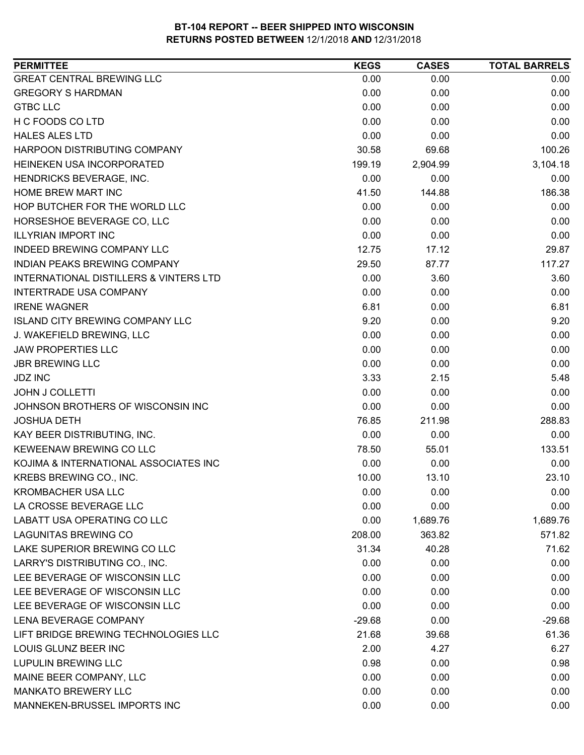| <b>GREAT CENTRAL BREWING LLC</b><br>0.00<br>0.00       | 0.00     |
|--------------------------------------------------------|----------|
| <b>GREGORY S HARDMAN</b><br>0.00<br>0.00               | 0.00     |
| <b>GTBC LLC</b><br>0.00<br>0.00                        | 0.00     |
| H C FOODS CO LTD<br>0.00<br>0.00                       | 0.00     |
| 0.00<br><b>HALES ALES LTD</b><br>0.00                  | 0.00     |
| HARPOON DISTRIBUTING COMPANY<br>69.68<br>30.58         | 100.26   |
| HEINEKEN USA INCORPORATED<br>199.19<br>2,904.99        | 3,104.18 |
| HENDRICKS BEVERAGE, INC.<br>0.00<br>0.00               | 0.00     |
| HOME BREW MART INC<br>41.50<br>144.88                  | 186.38   |
| HOP BUTCHER FOR THE WORLD LLC<br>0.00<br>0.00          | 0.00     |
| 0.00<br>HORSESHOE BEVERAGE CO, LLC<br>0.00             | 0.00     |
| <b>ILLYRIAN IMPORT INC</b><br>0.00<br>0.00             | 0.00     |
| INDEED BREWING COMPANY LLC<br>12.75<br>17.12           | 29.87    |
| INDIAN PEAKS BREWING COMPANY<br>29.50<br>87.77         | 117.27   |
| 0.00<br>INTERNATIONAL DISTILLERS & VINTERS LTD<br>3.60 | 3.60     |
| <b>INTERTRADE USA COMPANY</b><br>0.00<br>0.00          | 0.00     |
| 6.81<br><b>IRENE WAGNER</b><br>0.00                    | 6.81     |
| <b>ISLAND CITY BREWING COMPANY LLC</b><br>9.20<br>0.00 | 9.20     |
| 0.00<br>J. WAKEFIELD BREWING, LLC<br>0.00              | 0.00     |
| <b>JAW PROPERTIES LLC</b><br>0.00<br>0.00              | 0.00     |
| <b>JBR BREWING LLC</b><br>0.00<br>0.00                 | 0.00     |
| <b>JDZ INC</b><br>3.33<br>2.15                         | 5.48     |
| 0.00<br><b>JOHN J COLLETTI</b><br>0.00                 | 0.00     |
| 0.00<br>JOHNSON BROTHERS OF WISCONSIN INC<br>0.00      | 0.00     |
| 76.85<br><b>JOSHUA DETH</b><br>211.98                  | 288.83   |
| 0.00<br>KAY BEER DISTRIBUTING, INC.<br>0.00            | 0.00     |
| KEWEENAW BREWING CO LLC<br>78.50<br>55.01              | 133.51   |
| KOJIMA & INTERNATIONAL ASSOCIATES INC<br>0.00<br>0.00  | 0.00     |
| KREBS BREWING CO., INC.<br>10.00<br>13.10              | 23.10    |
| <b>KROMBACHER USA LLC</b><br>0.00<br>0.00              | 0.00     |
| 0.00<br>LA CROSSE BEVERAGE LLC<br>0.00                 | 0.00     |
| <b>LABATT USA OPERATING CO LLC</b><br>0.00<br>1,689.76 | 1,689.76 |
| <b>LAGUNITAS BREWING CO</b><br>363.82<br>208.00        | 571.82   |
| LAKE SUPERIOR BREWING CO LLC<br>31.34<br>40.28         | 71.62    |
| LARRY'S DISTRIBUTING CO., INC.<br>0.00<br>0.00         | 0.00     |
| LEE BEVERAGE OF WISCONSIN LLC<br>0.00<br>0.00          | 0.00     |
| LEE BEVERAGE OF WISCONSIN LLC<br>0.00<br>0.00          | 0.00     |
| LEE BEVERAGE OF WISCONSIN LLC<br>0.00<br>0.00          | 0.00     |
| LENA BEVERAGE COMPANY<br>$-29.68$<br>0.00              | $-29.68$ |
| LIFT BRIDGE BREWING TECHNOLOGIES LLC<br>21.68<br>39.68 | 61.36    |
| LOUIS GLUNZ BEER INC<br>2.00<br>4.27                   | 6.27     |
| <b>LUPULIN BREWING LLC</b><br>0.98<br>0.00             | 0.98     |
| 0.00<br>MAINE BEER COMPANY, LLC<br>0.00                | 0.00     |
| <b>MANKATO BREWERY LLC</b><br>0.00<br>0.00             | 0.00     |
| MANNEKEN-BRUSSEL IMPORTS INC<br>0.00<br>0.00           | 0.00     |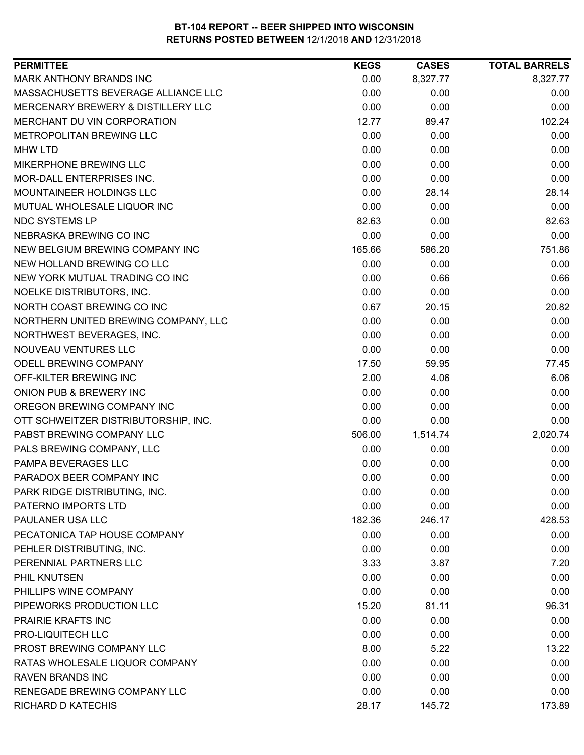| <b>PERMITTEE</b>                     | <b>KEGS</b> | <b>CASES</b> | <b>TOTAL BARRELS</b> |
|--------------------------------------|-------------|--------------|----------------------|
| MARK ANTHONY BRANDS INC              | 0.00        | 8,327.77     | 8,327.77             |
| MASSACHUSETTS BEVERAGE ALLIANCE LLC  | 0.00        | 0.00         | 0.00                 |
| MERCENARY BREWERY & DISTILLERY LLC   | 0.00        | 0.00         | 0.00                 |
| MERCHANT DU VIN CORPORATION          | 12.77       | 89.47        | 102.24               |
| METROPOLITAN BREWING LLC             | 0.00        | 0.00         | 0.00                 |
| <b>MHW LTD</b>                       | 0.00        | 0.00         | 0.00                 |
| MIKERPHONE BREWING LLC               | 0.00        | 0.00         | 0.00                 |
| MOR-DALL ENTERPRISES INC.            | 0.00        | 0.00         | 0.00                 |
| MOUNTAINEER HOLDINGS LLC             | 0.00        | 28.14        | 28.14                |
| MUTUAL WHOLESALE LIQUOR INC          | 0.00        | 0.00         | 0.00                 |
| NDC SYSTEMS LP                       | 82.63       | 0.00         | 82.63                |
| NEBRASKA BREWING CO INC              | 0.00        | 0.00         | 0.00                 |
| NEW BELGIUM BREWING COMPANY INC      | 165.66      | 586.20       | 751.86               |
| NEW HOLLAND BREWING CO LLC           | 0.00        | 0.00         | 0.00                 |
| NEW YORK MUTUAL TRADING CO INC       | 0.00        | 0.66         | 0.66                 |
| NOELKE DISTRIBUTORS, INC.            | 0.00        | 0.00         | 0.00                 |
| NORTH COAST BREWING CO INC           | 0.67        | 20.15        | 20.82                |
| NORTHERN UNITED BREWING COMPANY, LLC | 0.00        | 0.00         | 0.00                 |
| NORTHWEST BEVERAGES, INC.            | 0.00        | 0.00         | 0.00                 |
| NOUVEAU VENTURES LLC                 | 0.00        | 0.00         | 0.00                 |
| ODELL BREWING COMPANY                | 17.50       | 59.95        | 77.45                |
| OFF-KILTER BREWING INC               | 2.00        | 4.06         | 6.06                 |
| ONION PUB & BREWERY INC              | 0.00        | 0.00         | 0.00                 |
| OREGON BREWING COMPANY INC           | 0.00        | 0.00         | 0.00                 |
| OTT SCHWEITZER DISTRIBUTORSHIP, INC. | 0.00        | 0.00         | 0.00                 |
| PABST BREWING COMPANY LLC            | 506.00      | 1,514.74     | 2,020.74             |
| PALS BREWING COMPANY, LLC            | 0.00        | 0.00         | 0.00                 |
| PAMPA BEVERAGES LLC                  | 0.00        | 0.00         | 0.00                 |
| PARADOX BEER COMPANY INC             | 0.00        | 0.00         | 0.00                 |
| PARK RIDGE DISTRIBUTING, INC.        | 0.00        | 0.00         | 0.00                 |
| PATERNO IMPORTS LTD                  | 0.00        | 0.00         | 0.00                 |
| PAULANER USA LLC                     | 182.36      | 246.17       | 428.53               |
| PECATONICA TAP HOUSE COMPANY         | 0.00        | 0.00         | 0.00                 |
| PEHLER DISTRIBUTING, INC.            | 0.00        | 0.00         | 0.00                 |
| PERENNIAL PARTNERS LLC               | 3.33        | 3.87         | 7.20                 |
| PHIL KNUTSEN                         | 0.00        | 0.00         | 0.00                 |
| PHILLIPS WINE COMPANY                | 0.00        | 0.00         | 0.00                 |
| PIPEWORKS PRODUCTION LLC             | 15.20       | 81.11        | 96.31                |
| PRAIRIE KRAFTS INC                   | 0.00        | 0.00         | 0.00                 |
| PRO-LIQUITECH LLC                    | 0.00        | 0.00         | 0.00                 |
| PROST BREWING COMPANY LLC            | 8.00        | 5.22         | 13.22                |
| RATAS WHOLESALE LIQUOR COMPANY       | 0.00        | 0.00         | 0.00                 |
| <b>RAVEN BRANDS INC</b>              | 0.00        | 0.00         | 0.00                 |
| RENEGADE BREWING COMPANY LLC         | 0.00        | 0.00         | 0.00                 |
| RICHARD D KATECHIS                   | 28.17       | 145.72       | 173.89               |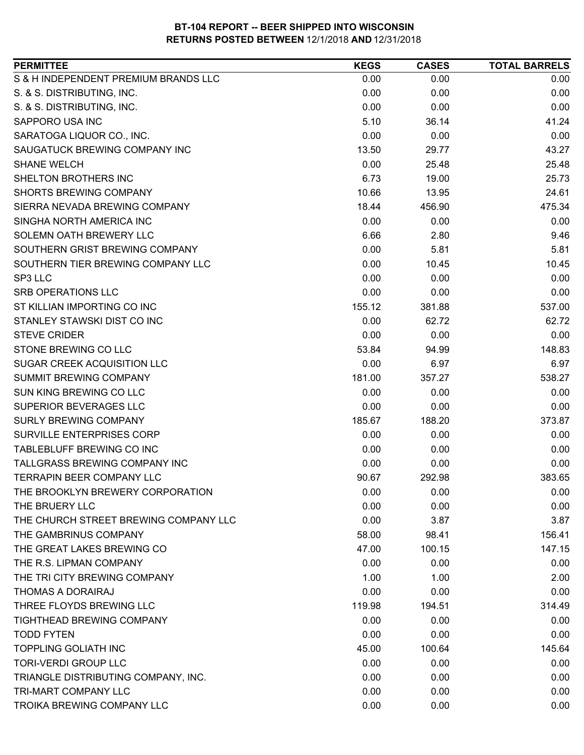| <b>PERMITTEE</b>                      | <b>KEGS</b> | <b>CASES</b> | <b>TOTAL BARRELS</b> |
|---------------------------------------|-------------|--------------|----------------------|
| S & H INDEPENDENT PREMIUM BRANDS LLC  | 0.00        | 0.00         | 0.00                 |
| S. & S. DISTRIBUTING, INC.            | 0.00        | 0.00         | 0.00                 |
| S. & S. DISTRIBUTING, INC.            | 0.00        | 0.00         | 0.00                 |
| SAPPORO USA INC                       | 5.10        | 36.14        | 41.24                |
| SARATOGA LIQUOR CO., INC.             | 0.00        | 0.00         | 0.00                 |
| SAUGATUCK BREWING COMPANY INC         | 13.50       | 29.77        | 43.27                |
| <b>SHANE WELCH</b>                    | 0.00        | 25.48        | 25.48                |
| <b>SHELTON BROTHERS INC</b>           | 6.73        | 19.00        | 25.73                |
| <b>SHORTS BREWING COMPANY</b>         | 10.66       | 13.95        | 24.61                |
| SIERRA NEVADA BREWING COMPANY         | 18.44       | 456.90       | 475.34               |
| SINGHA NORTH AMERICA INC              | 0.00        | 0.00         | 0.00                 |
| SOLEMN OATH BREWERY LLC               | 6.66        | 2.80         | 9.46                 |
| SOUTHERN GRIST BREWING COMPANY        | 0.00        | 5.81         | 5.81                 |
| SOUTHERN TIER BREWING COMPANY LLC     | 0.00        | 10.45        | 10.45                |
| SP3 LLC                               | 0.00        | 0.00         | 0.00                 |
| <b>SRB OPERATIONS LLC</b>             | 0.00        | 0.00         | 0.00                 |
| ST KILLIAN IMPORTING CO INC           | 155.12      | 381.88       | 537.00               |
| STANLEY STAWSKI DIST CO INC           | 0.00        | 62.72        | 62.72                |
| <b>STEVE CRIDER</b>                   | 0.00        | 0.00         | 0.00                 |
| STONE BREWING CO LLC                  | 53.84       | 94.99        | 148.83               |
| SUGAR CREEK ACQUISITION LLC           | 0.00        | 6.97         | 6.97                 |
| <b>SUMMIT BREWING COMPANY</b>         | 181.00      | 357.27       | 538.27               |
| SUN KING BREWING CO LLC               | 0.00        | 0.00         | 0.00                 |
| SUPERIOR BEVERAGES LLC                | 0.00        | 0.00         | 0.00                 |
| <b>SURLY BREWING COMPANY</b>          | 185.67      | 188.20       | 373.87               |
| SURVILLE ENTERPRISES CORP             | 0.00        | 0.00         | 0.00                 |
| TABLEBLUFF BREWING CO INC             | 0.00        | 0.00         | 0.00                 |
| TALLGRASS BREWING COMPANY INC         | 0.00        | 0.00         | 0.00                 |
| <b>TERRAPIN BEER COMPANY LLC</b>      | 90.67       | 292.98       | 383.65               |
| THE BROOKLYN BREWERY CORPORATION      | 0.00        | 0.00         | 0.00                 |
| THE BRUERY LLC                        | 0.00        | 0.00         | 0.00                 |
| THE CHURCH STREET BREWING COMPANY LLC | 0.00        | 3.87         | 3.87                 |
| THE GAMBRINUS COMPANY                 | 58.00       | 98.41        | 156.41               |
| THE GREAT LAKES BREWING CO            | 47.00       | 100.15       | 147.15               |
| THE R.S. LIPMAN COMPANY               | 0.00        | 0.00         | 0.00                 |
| THE TRI CITY BREWING COMPANY          | 1.00        | 1.00         | 2.00                 |
| THOMAS A DORAIRAJ                     | 0.00        | 0.00         | 0.00                 |
| THREE FLOYDS BREWING LLC              | 119.98      | 194.51       | 314.49               |
| TIGHTHEAD BREWING COMPANY             | 0.00        | 0.00         | 0.00                 |
| <b>TODD FYTEN</b>                     | 0.00        | 0.00         | 0.00                 |
| <b>TOPPLING GOLIATH INC</b>           | 45.00       | 100.64       | 145.64               |
| <b>TORI-VERDI GROUP LLC</b>           | 0.00        | 0.00         | 0.00                 |
| TRIANGLE DISTRIBUTING COMPANY, INC.   | 0.00        | 0.00         | 0.00                 |
| TRI-MART COMPANY LLC                  | 0.00        | 0.00         | 0.00                 |
| TROIKA BREWING COMPANY LLC            | 0.00        | 0.00         | 0.00                 |